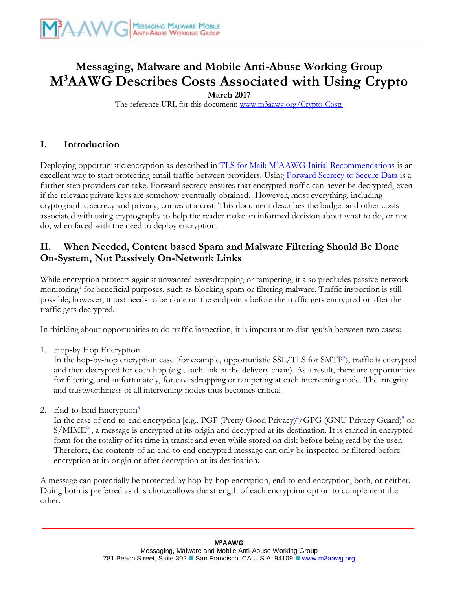# **Messaging, Malware and Mobile Anti-Abuse Working Group M<sup>3</sup>AAWG Describes Costs Associated with Using Crypto**

**March 2017** 

The reference URL for this document: [www.m3aawg.org/Crypto-Costs](http://www.m3aawg.org/Crypto-Costs)

#### **I. Introduction**

Deploying opportunistic encryption as described in TLS for Mail: M<sup>3</sup>[AAWG Initial Recommendations](https://www.m3aawg.org/sites/maawg/files/news/M3AAWG_TLS_Initial_Recommendations-2014-12.pdf) is an excellent way to start protecting email traffic between providers. Using [Forward Secrecy to Secure Data](https://www.m3aawg.org/sites/default/files/m3aawg-forward-secrecy-recommendations-2016-01.pdf) is a further step providers can take. Forward secrecy ensures that encrypted traffic can never be decrypted, even if the relevant private keys are somehow eventually obtained. However, most everything, including cryptographic secrecy and privacy, comes at a cost. This document describes the budget and other costs associated with using cryptography to help the reader make an informed decision about what to do, or not do, when faced with the need to deploy encryption.

#### **II. When Needed, Content based Spam and Malware Filtering Should Be Done On-System, Not Passively On-Network Links**

While encryption protects against unwanted eavesdropping or tampering, it also precludes passive network monitoring<sup>[1](#page-3-0)</sup> for beneficial purposes, such as blocking spam or filtering malware. Traffic inspection is still possible; however, it just needs to be done on the endpoints before the traffic gets encrypted or after the traffic gets decrypted.

In thinking about opportunities to do traffic inspection, it is important to distinguish between two cases:

1. Hop-by Hop Encryption

In the hop-by-hop encryption case (for example, opportunistic SSL/TLS for SMT[P](#page-3-1)<sup>[2](#page-3-3)</sup>), traffic is encrypted and then decrypted for each hop (e.g., each link in the delivery chain). As a result, there are opportunities for filtering, and unfortunately, for eavesdropping or tampering at each intervening node. The integrity and trustworthiness of all intervening nodes thus becomes critical.

2. E[n](#page-4-0)d-to-End Encryption $\frac{3}{2}$  $\frac{3}{2}$  $\frac{3}{2}$ 

In the case of end-to-end encryption [e.g., PGP (Pretty Good Privacy)<sup>[4](#page-4-1)</sup>/GPG (GNU Privacy Guard[\)](#page-4-2)<sup>[5](#page-4-6)</sup> or S/MIME<sup>[6](#page-4-3)</sup>, a message is encrypted at its origin and decrypted at its destination. It is carried in encrypted form for the totality of its time in transit and even while stored on disk before being read by the user. Therefore, the contents of an end-to-end encrypted message can only be inspected or filtered before encryption at its origin or after decryption at its destination.

A message can potentially be protected by hop-by-hop encryption, end-to-end encryption, both, or neither. Doing both is preferred as this choice allows the strength of each encryption option to complement the other.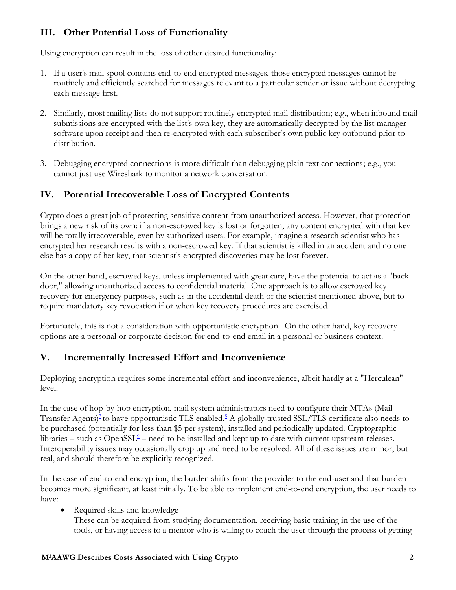# **III. Other Potential Loss of Functionality**

Using encryption can result in the loss of other desired functionality:

- 1. If a user's mail spool contains end-to-end encrypted messages, those encrypted messages cannot be routinely and efficiently searched for messages relevant to a particular sender or issue without decrypting each message first.
- 2. Similarly, most mailing lists do not support routinely encrypted mail distribution; e.g., when inbound mail submissions are encrypted with the list's own key, they are automatically decrypted by the list manager software upon receipt and then re-encrypted with each subscriber's own public key outbound prior to distribution.
- 3. Debugging encrypted connections is more difficult than debugging plain text connections; e.g., you cannot just use Wireshark to monitor a network conversation.

## **IV. Potential Irrecoverable Loss of Encrypted Contents**

Crypto does a great job of protecting sensitive content from unauthorized access. However, that protection brings a new risk of its own: if a non-escrowed key is lost or forgotten, any content encrypted with that key will be totally irrecoverable, even by authorized users. For example, imagine a research scientist who has encrypted her research results with a non-escrowed key. If that scientist is killed in an accident and no one else has a copy of her key, that scientist's encrypted discoveries may be lost forever.

On the other hand, escrowed keys, unless implemented with great care, have the potential to act as a "back door," allowing unauthorized access to confidential material. One approach is to allow escrowed key recovery for emergency purposes, such as in the accidental death of the scientist mentioned above, but to require mandatory key revocation if or when key recovery procedures are exercised.

Fortunately, this is not a consideration with opportunistic encryption. On the other hand, key recovery options are a personal or corporate decision for end-to-end email in a personal or business context.

#### **V. Incrementally Increased Effort and Inconvenience**

Deploying encryption requires some incremental effort and inconvenience, albeit hardly at a "Herculean" level.

In the case of hop-by-hop encryption, mail system administrators need to configure their MTAs (Mail Transfer Agents[\)](#page-4-8)<sup>[7](#page-4-11)</sup> to have opportunistic TLS enabled[.](#page-4-9)<sup>[8](#page-4-12)</sup> A globally-trusted SSL/TLS certificate also needs to be purchased (potentially for less than \$5 per system), installed and periodically updated. Cryptographic libraries – such as  $OpenSSL<sup>2</sup>$  $OpenSSL<sup>2</sup>$  $OpenSSL<sup>2</sup>$  – need to be installed and kept up to date with current upstream releases. Interoperability issues may occasionally crop up and need to be resolved. All of these issues are minor, but real, and should therefore be explicitly recognized.

In the case of end-to-end encryption, the burden shifts from the provider to the end-user and that burden becomes more significant, at least initially. To be able to implement end-to-end encryption, the user needs to have:

Required skills and knowledge

These can be acquired from studying documentation, receiving basic training in the use of the tools, or having access to a mentor who is willing to coach the user through the process of getting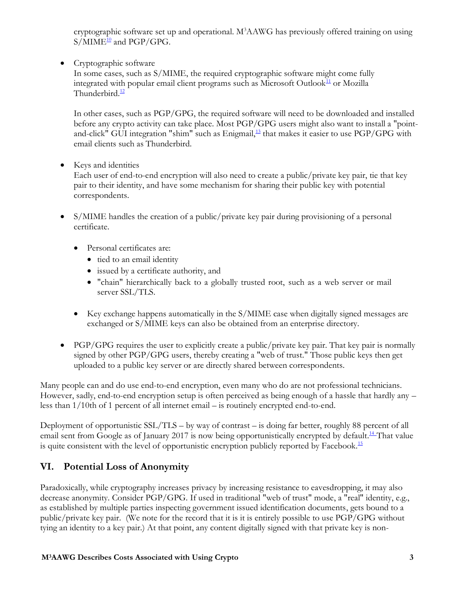cryptographic software set up and operational. M<sup>3</sup>AAWG has previously offered training on using  $S/MIME^{\underline{10}}$  $S/MIME^{\underline{10}}$  $S/MIME^{\underline{10}}$  $S/MIME^{\underline{10}}$  and PGP/GPG.

• Cryptographic software

In some cases, such as S/MIME, the required cryptographic software might come fully integrated with popular email client programs such as Microsoft Outlook<sup>[11](#page-4-15)</sup> or Mozilla Thunderbird. $\frac{12}{2}$  $\frac{12}{2}$  $\frac{12}{2}$ 

In other cases, such as PGP/GPG, the required software will need to be downloaded and installed before any crypto activity can take place. Most PGP/GPG users might also want to install a "point-and-click" GUI integration "shim" such as Enigmail,<sup>[13](#page-4-17)</sup> that makes it easier to use PGP/GPG with email clients such as Thunderbird.

• Keys and identities

Each user of end-to-end encryption will also need to create a public/private key pair, tie that key pair to their identity, and have some mechanism for sharing their public key with potential correspondents.

- S/MIME handles the creation of a public/private key pair during provisioning of a personal certificate.
	- Personal certificates are:
		- tied to an email identity
		- issued by a certificate authority, and
		- "chain" hierarchically back to a globally trusted root, such as a web server or mail server SSL/TLS.
	- Key exchange happens automatically in the S/MIME case when digitally signed messages are exchanged or S/MIME keys can also be obtained from an enterprise directory.
- PGP/GPG requires the user to explicitly create a public/private key pair. That key pair is normally signed by other PGP/GPG users, thereby creating a "web of trust." Those public keys then get uploaded to a public key server or are directly shared between correspondents.

Many people can and do use end-to-end encryption, even many who do are not professional technicians. However, sadly, end-to-end encryption setup is often perceived as being enough of a hassle that hardly any – less than 1/10th of 1 percent of all internet email – is routinely encrypted end-to-end.

Deployment of opportunistic SSL/TLS – by way of contrast – is doing far better, roughly 88 percent of all email sent from Google as of January 2017 is now being opportunistically encrypted by default.<sup>14</sup> That value is quite consistent with the level of opportunistic encryption publicly reported by Facebook.<sup>[15](#page-4-19)</sup>

# **VI. Potential Loss of Anonymity**

Paradoxically, while cryptography increases privacy by increasing resistance to eavesdropping, it may also decrease anonymity. Consider PGP/GPG. If used in traditional "web of trust" mode, a "real" identity, e.g., as established by multiple parties inspecting government issued identification documents, gets bound to a public/private key pair. (We note for the record that it is it is entirely possible to use PGP/GPG without tying an identity to a key pair.) At that point, any content digitally signed with that private key is non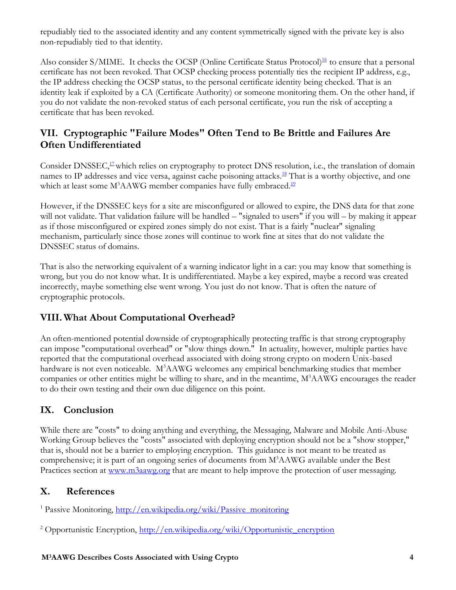repudiably tied to the associated identity and any content symmetrically signed with the private key is also non-repudiably tied to that identity.

Also consider S/MIME. It checks the OCSP (Online Certificate Status Protocol)<sup>16</sup> to ensure that a personal certificate has not been revoked. That OCSP checking process potentially ties the recipient IP address, e.g., the IP address checking the OCSP status, to the personal certificate identity being checked. That is an identity leak if exploited by a CA (Certificate Authority) or someone monitoring them. On the other hand, if you do not validate the non-revoked status of each personal certificate, you run the risk of accepting a certificate that has been revoked.

## **VII. Cryptographic "Failure Modes" Often Tend to Be Brittle and Failures Are Often Undifferentiated**

Consider DNSSEC,<sup>[17](#page-4-27)</sup> which relies on cryptography to protect DNS resolution, i.e., the translation of domain names to IP addresses and vice versa, against cache poisoning attacks.<sup>[1](#page-4-32)[8](#page-4-28)</sup> That is a worthy objective, and one which at least some  $M<sup>3</sup>AAWG$  member companies have fully embraced.<sup>[19](#page-4-29)</sup>

However, if the DNSSEC keys for a site are misconfigured or allowed to expire, the DNS data for that zone will not validate. That validation failure will be handled – "signaled to users" if you will – by making it appear as if those misconfigured or expired zones simply do not exist. That is a fairly "nuclear" signaling mechanism, particularly since those zones will continue to work fine at sites that do not validate the DNSSEC status of domains.

That is also the networking equivalent of a warning indicator light in a car: you may know that something is wrong, but you do not know what. It is undifferentiated. Maybe a key expired, maybe a record was created incorrectly, maybe something else went wrong. You just do not know. That is often the nature of cryptographic protocols.

# **VIII. What About Computational Overhead?**

An often-mentioned potential downside of cryptographically protecting traffic is that strong cryptography can impose "computational overhead" or "slow things down." In actuality, however, multiple parties have reported that the computational overhead associated with doing strong crypto on modern Unix-based hardware is not even noticeable. M<sup>3</sup>AAWG welcomes any empirical benchmarking studies that member companies or other entities might be willing to share, and in the meantime,  $M<sup>3</sup>AAWG$  encourages the reader to do their own testing and their own due diligence on this point.

# **IX. Conclusion**

While there are "costs" to doing anything and everything, the Messaging, Malware and Mobile Anti-Abuse Working Group believes the "costs" associated with deploying encryption should not be a "show stopper," that is, should not be a barrier to employing encryption. This guidance is not meant to be treated as comprehensive; it is part of an ongoing series of documents from M<sup>3</sup>AAWG available under the Best Practices section at [www.m3aawg.org](http://www.m3aawg.org/) that are meant to help improve the protection of user messaging.

#### **X. References**

<span id="page-3-2"></span><span id="page-3-0"></span><sup>1</sup> Passive Monitoring, [http://en.wikipedia.org/wiki/Passive\\_monitoring](http://en.wikipedia.org/wiki/Passive_monitoring)

<span id="page-3-3"></span><span id="page-3-1"></span><sup>2</sup> Opportunistic Encryption, [http://en.wikipedia.org/wiki/Opportunistic\\_encryption](http://en.wikipedia.org/wiki/Opportunistic_encryption)